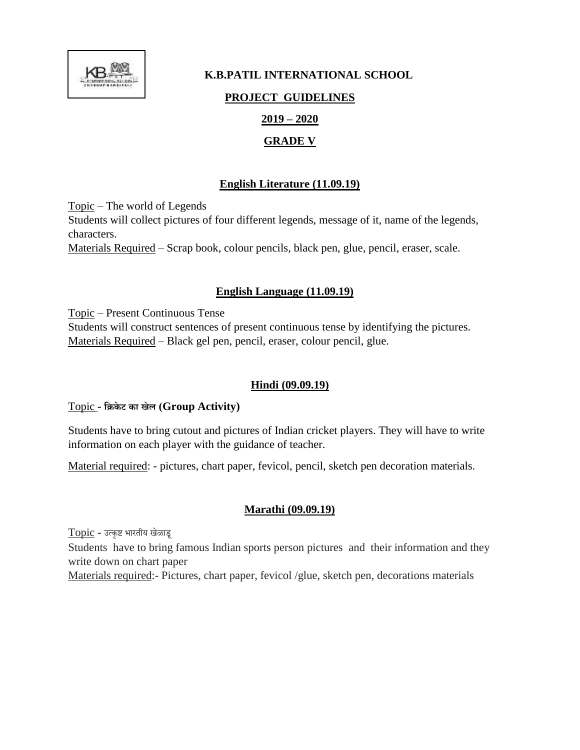

# **K.B.PATIL INTERNATIONAL SCHOOL PROJECT GUIDELINES 2019 – 2020 GRADE V**

## **English Literature (11.09.19)**

Topic – The world of Legends Students will collect pictures of four different legends, message of it, name of the legends, characters. Materials Required – Scrap book, colour pencils, black pen, glue, pencil, eraser, scale.

# **English Language (11.09.19)**

Topic – Present Continuous Tense

Students will construct sentences of present continuous tense by identifying the pictures. Materials Required – Black gel pen, pencil, eraser, colour pencil, glue.

# **Hindi (09.09.19)**

### Topic **- क्रिके ट का खेल (Group Activity)**

Students have to bring cutout and pictures of Indian cricket players. They will have to write information on each player with the guidance of teacher.

Material required: - pictures, chart paper, fevicol, pencil, sketch pen decoration materials.

# **Marathi (09.09.19)**

Topic **-** उत्कृष्ट भारतीय खेळाडू Students have to bring famous Indian sports person pictures and their information and they write down on chart paper Materials required:- Pictures, chart paper, fevicol /glue, sketch pen, decorations materials